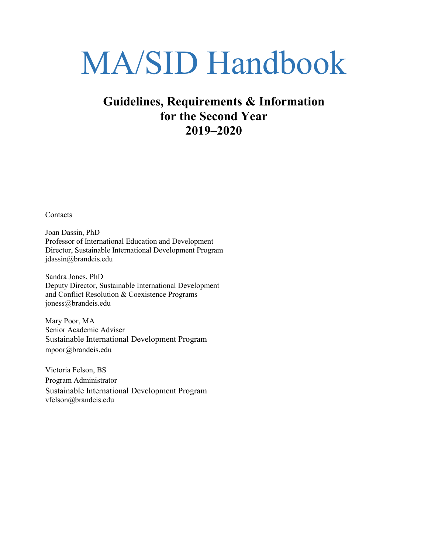# MA/SID Handbook

# **Guidelines, Requirements & Information for the Second Year 2019–2020**

**Contacts** 

Joan Dassin, PhD Professor of International Education and Development Director, Sustainable International Development Program [jdassin@brandeis.edu](mailto:jdassin@brandeis.edu)

Sandra Jones, PhD Deputy Director, Sustainable International Development and Conflict Resolution & Coexistence Programs joness@brandeis.edu

Mary Poor, MA Senior Academic Adviser Sustainable International Development Program [mpoor@brandeis.edu](mailto:mpoor@brandeis.edu)

Victoria Felson, BS Program Administrator Sustainable International Development Program [vfelson@brandeis.edu](mailto:vfelson@brandeis.edu)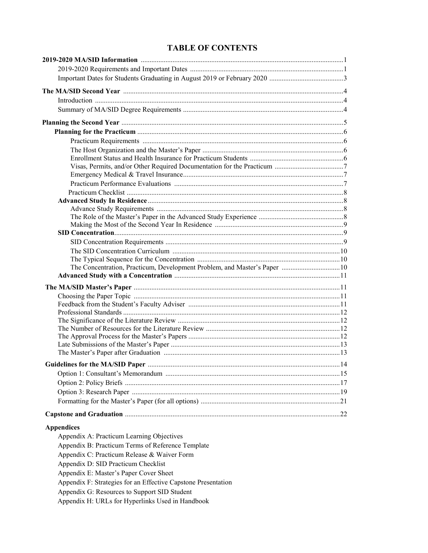# **TABLE OF CONTENTS**

| <b>Appendices</b>                                             |  |
|---------------------------------------------------------------|--|
| Appendix A: Practicum Learning Objectives                     |  |
| Appendix B: Practicum Terms of Reference Template             |  |
| Appendix C: Practicum Release & Waiver Form                   |  |
|                                                               |  |
| Appendix D: SID Practicum Checklist                           |  |
| Appendix E: Master's Paper Cover Sheet                        |  |
| Appendix F: Strategies for an Effective Capstone Presentation |  |
| Appendix G: Resources to Support SID Student                  |  |

Appendix H: URLs for Hyperlinks Used in Handbook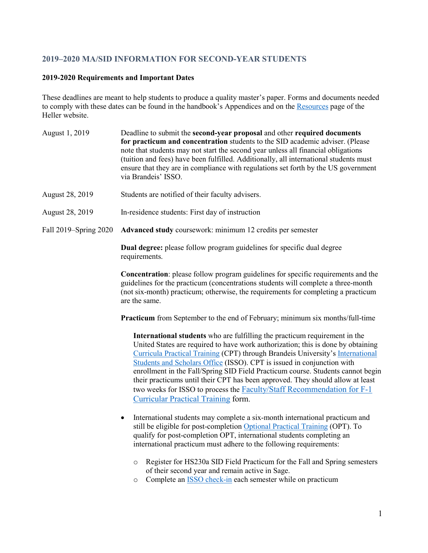# **2019–2020 MA/SID INFORMATION FOR SECOND-YEAR STUDENTS**

# **2019-2020 Requirements and Important Dates**

These deadlines are meant to help students to produce a quality master's paper. Forms and documents needed to comply with these dates can be found in the handbook's Appendices and on th[e Resources](http://heller.brandeis.edu/students/) page of the Heller website.

| August 1, 2019                                                                                                                                                                                                                                                                                                                                                                                                                                                                                                                                                                                                          | Deadline to submit the second-year proposal and other required documents<br>for practicum and concentration students to the SID academic adviser. (Please<br>note that students may not start the second year unless all financial obligations<br>(tuition and fees) have been fulfilled. Additionally, all international students must<br>ensure that they are in compliance with regulations set forth by the US government<br>via Brandeis' ISSO. |  |  |
|-------------------------------------------------------------------------------------------------------------------------------------------------------------------------------------------------------------------------------------------------------------------------------------------------------------------------------------------------------------------------------------------------------------------------------------------------------------------------------------------------------------------------------------------------------------------------------------------------------------------------|------------------------------------------------------------------------------------------------------------------------------------------------------------------------------------------------------------------------------------------------------------------------------------------------------------------------------------------------------------------------------------------------------------------------------------------------------|--|--|
| August 28, 2019                                                                                                                                                                                                                                                                                                                                                                                                                                                                                                                                                                                                         | Students are notified of their faculty advisers.                                                                                                                                                                                                                                                                                                                                                                                                     |  |  |
| August 28, 2019                                                                                                                                                                                                                                                                                                                                                                                                                                                                                                                                                                                                         | In-residence students: First day of instruction                                                                                                                                                                                                                                                                                                                                                                                                      |  |  |
| Fall 2019–Spring 2020                                                                                                                                                                                                                                                                                                                                                                                                                                                                                                                                                                                                   | Advanced study coursework: minimum 12 credits per semester                                                                                                                                                                                                                                                                                                                                                                                           |  |  |
|                                                                                                                                                                                                                                                                                                                                                                                                                                                                                                                                                                                                                         | <b>Dual degree:</b> please follow program guidelines for specific dual degree<br>requirements.                                                                                                                                                                                                                                                                                                                                                       |  |  |
|                                                                                                                                                                                                                                                                                                                                                                                                                                                                                                                                                                                                                         | <b>Concentration:</b> please follow program guidelines for specific requirements and the<br>guidelines for the practicum (concentrations students will complete a three-month<br>(not six-month) practicum; otherwise, the requirements for completing a practicum<br>are the same.                                                                                                                                                                  |  |  |
|                                                                                                                                                                                                                                                                                                                                                                                                                                                                                                                                                                                                                         | <b>Practicum</b> from September to the end of February; minimum six months/full-time                                                                                                                                                                                                                                                                                                                                                                 |  |  |
| International students who are fulfilling the practicum requirement in the<br>United States are required to have work authorization; this is done by obtaining<br>Curricula Practical Training (CPT) through Brandeis University's International<br>Students and Scholars Office (ISSO). CPT is issued in conjunction with<br>enrollment in the Fall/Spring SID Field Practicum course. Students cannot begin<br>their practicums until their CPT has been approved. They should allow at least<br>two weeks for ISSO to process the Faculty/Staff Recommendation for F-1<br><b>Curricular Practical Training form.</b> |                                                                                                                                                                                                                                                                                                                                                                                                                                                      |  |  |
|                                                                                                                                                                                                                                                                                                                                                                                                                                                                                                                                                                                                                         | International students may complete a six-month international practicum and<br>$\bullet$<br>still be eligible for post-completion Optional Practical Training (OPT). To<br>qualify for post-completion OPT, international students completing an<br>international practicum must adhere to the following requirements:                                                                                                                               |  |  |
|                                                                                                                                                                                                                                                                                                                                                                                                                                                                                                                                                                                                                         | Register for HS230a SID Field Practicum for the Fall and Spring semesters<br>$\circ$<br>of their second year and remain active in Sage.<br>Complete an <b>ISSO</b> check-in each semester while on practicum<br>$\circ$                                                                                                                                                                                                                              |  |  |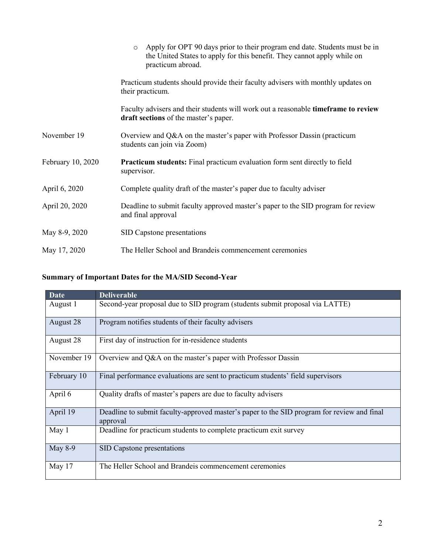|                   | Apply for OPT 90 days prior to their program end date. Students must be in<br>$\circ$<br>the United States to apply for this benefit. They cannot apply while on<br>practicum abroad. |  |
|-------------------|---------------------------------------------------------------------------------------------------------------------------------------------------------------------------------------|--|
|                   | Practicum students should provide their faculty advisers with monthly updates on<br>their practicum.                                                                                  |  |
|                   | Faculty advisers and their students will work out a reasonable <b>timeframe to review</b><br>draft sections of the master's paper.                                                    |  |
| November 19       | Overview and Q&A on the master's paper with Professor Dassin (practicum<br>students can join via Zoom)                                                                                |  |
| February 10, 2020 | <b>Practicum students:</b> Final practicum evaluation form sent directly to field<br>supervisor.                                                                                      |  |
| April 6, 2020     | Complete quality draft of the master's paper due to faculty adviser                                                                                                                   |  |
| April 20, 2020    | Deadline to submit faculty approved master's paper to the SID program for review<br>and final approval                                                                                |  |
| May 8-9, 2020     | SID Capstone presentations                                                                                                                                                            |  |
| May 17, 2020      | The Heller School and Brandeis commencement ceremonies                                                                                                                                |  |

# **Summary of Important Dates for the MA/SID Second-Year**

| <b>Date</b> | <b>Deliverable</b>                                                                                     |
|-------------|--------------------------------------------------------------------------------------------------------|
| August 1    | Second-year proposal due to SID program (students submit proposal via LATTE)                           |
| August 28   | Program notifies students of their faculty advisers                                                    |
| August 28   | First day of instruction for in-residence students                                                     |
| November 19 | Overview and Q&A on the master's paper with Professor Dassin                                           |
| February 10 | Final performance evaluations are sent to practicum students' field supervisors                        |
| April 6     | Quality drafts of master's papers are due to faculty advisers                                          |
| April 19    | Deadline to submit faculty-approved master's paper to the SID program for review and final<br>approval |
| May 1       | Deadline for practicum students to complete practicum exit survey                                      |
| May 8-9     | SID Capstone presentations                                                                             |
| May $17$    | The Heller School and Brandeis commencement ceremonies                                                 |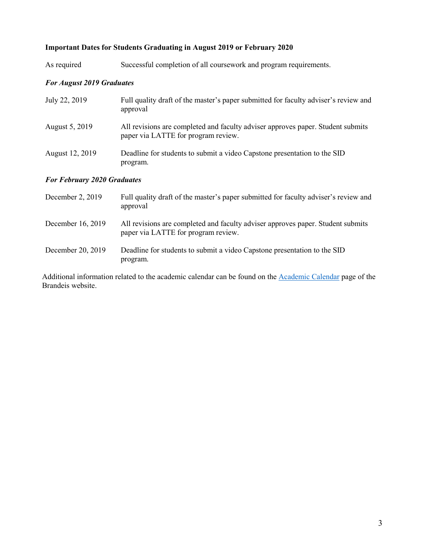# **Important Dates for Students Graduating in August 2019 or February 2020**

| As required | Successful completion of all coursework and program requirements. |  |
|-------------|-------------------------------------------------------------------|--|
|             |                                                                   |  |

# *For August 2019 Graduates*

| July 22, 2019                      | Full quality draft of the master's paper submitted for faculty adviser's review and<br>approval                        |  |
|------------------------------------|------------------------------------------------------------------------------------------------------------------------|--|
| August 5, 2019                     | All revisions are completed and faculty adviser approves paper. Student submits<br>paper via LATTE for program review. |  |
| August 12, 2019                    | Deadline for students to submit a video Capstone presentation to the SID<br>program.                                   |  |
| <b>For February 2020 Graduates</b> |                                                                                                                        |  |

| December 2, 2019  | Full quality draft of the master's paper submitted for faculty adviser's review and<br>approval                        |
|-------------------|------------------------------------------------------------------------------------------------------------------------|
| December 16, 2019 | All revisions are completed and faculty adviser approves paper. Student submits<br>paper via LATTE for program review. |
| December 20, 2019 | Deadline for students to submit a video Capstone presentation to the SID<br>program.                                   |

Additional information related to the academic calendar can be found on the [Academic Calendar](https://www.brandeis.edu/registrar/calendar/gradkeydates18-19.html) page of the Brandeis website.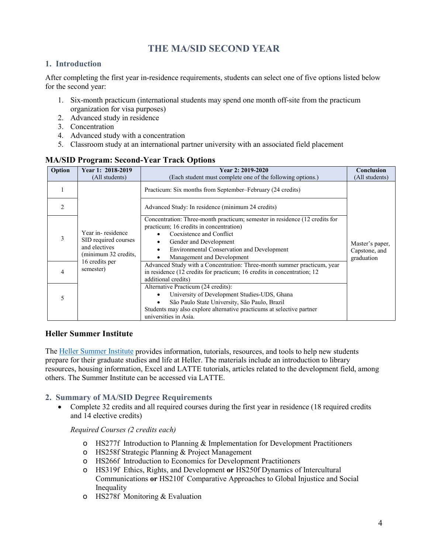# **THE MA/SID SECOND YEAR**

# **1. Introduction**

After completing the first year in-residence requirements, students can select one of five options listed below for the second year:

- 1. Six-month practicum (international students may spend one month off-site from the practicum organization for visa purposes)
- 2. Advanced study in residence
- 3. Concentration
- 4. Advanced study with a concentration
- 5. Classroom study at an international partner university with an associated field placement

| Option         | Year 1: 2018-2019<br>(All students)                                                | Year 2: 2019-2020<br>(Each student must complete one of the following options.)                                                                                                                                                                                 | Conclusion<br>(All students)                   |
|----------------|------------------------------------------------------------------------------------|-----------------------------------------------------------------------------------------------------------------------------------------------------------------------------------------------------------------------------------------------------------------|------------------------------------------------|
|                |                                                                                    | Practicum: Six months from September-February (24 credits)                                                                                                                                                                                                      |                                                |
| $\mathfrak{D}$ |                                                                                    | Advanced Study: In residence (minimum 24 credits)                                                                                                                                                                                                               |                                                |
| 3              | Year in-residence<br>SID required courses<br>and electives<br>(minimum 32 credits, | Concentration: Three-month practicum; semester in residence (12 credits for<br>practicum; 16 credits in concentration)<br>Coexistence and Conflict<br>Gender and Development<br><b>Environmental Conservation and Development</b><br>Management and Development | Master's paper,<br>Capstone, and<br>graduation |
| 4              | 16 credits per<br>semester)                                                        | Advanced Study with a Concentration: Three-month summer practicum, year<br>in residence (12 credits for practicum; 16 credits in concentration; 12<br>additional credits)                                                                                       |                                                |
| 5              |                                                                                    | Alternative Practicum (24 credits):<br>University of Development Studies-UDS, Ghana<br>São Paulo State University, São Paulo, Brazil<br>Students may also explore alternative practicums at selective partner<br>universities in Asia.                          |                                                |

# **MA/SID Program: Second-Year Track Options**

# **Heller Summer Institute**

Th[e Heller Summer Institute](https://moodle2.brandeis.edu/course/view.php?id=13881) provides information, tutorials, resources, and tools to help new students prepare for their graduate studies and life at Heller. The materials include an introduction to library resources, housing information, Excel and LATTE tutorials, articles related to the development field, among others. The Summer Institute can be accessed via LATTE.

# **2. Summary of MA/SID Degree Requirements**

• Complete 32 credits and all required courses during the first year in residence (18 required credits and 14 elective credits)

*Required Courses (2 credits each)*

- o HS277f Introduction to Planning & Implementation for Development Practitioners
- o HS258f Strategic Planning & Project Management
- o HS266f Introduction to Economics for Development Practitioners
- o HS319f Ethics, Rights, and Development **or** HS250f Dynamics of Intercultural Communications **or** HS210f Comparative Approaches to Global Injustice and Social Inequality
- o HS278f Monitoring & Evaluation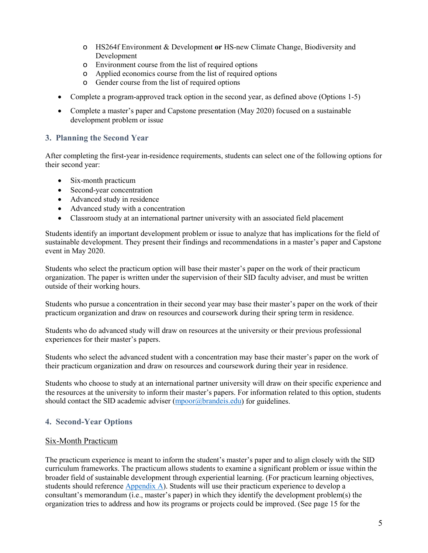- o HS264f Environment & Development **or** HS-new Climate Change, Biodiversity and Development
- o Environment course from the list of required options
- o Applied economics course from the list of required options
- o Gender course from the list of required options
- Complete a program-approved track option in the second year, as defined above (Options 1-5)
- Complete a master's paper and Capstone presentation (May 2020) focused on a sustainable development problem or issue

# **3. Planning the Second Year**

After completing the first-year in-residence requirements, students can select one of the following options for their second year:

- Six-month practicum
- Second-year concentration
- Advanced study in residence
- Advanced study with a concentration
- Classroom study at an international partner university with an associated field placement

Students identify an important development problem or issue to analyze that has implications for the field of sustainable development. They present their findings and recommendations in a master's paper and Capstone event in May 2020.

Students who select the practicum option will base their master's paper on the work of their practicum organization. The paper is written under the supervision of their SID faculty adviser, and must be written outside of their working hours.

Students who pursue a concentration in their second year may base their master's paper on the work of their practicum organization and draw on resources and coursework during their spring term in residence.

Students who do advanced study will draw on resources at the university or their previous professional experiences for their master's papers.

Students who select the advanced student with a concentration may base their master's paper on the work of their practicum organization and draw on resources and coursework during their year in residence.

Students who choose to study at an international partner university will draw on their specific experience and the resources at the university to inform their master's papers. For information related to this option, students should contact the SID academic adviser [\(mpoor@brandeis.edu\)](mailto:mpoor@brandeis.edu) for guidelines.

# **4. Second-Year Options**

# Six-Month Practicum

The practicum experience is meant to inform the student's master's paper and to align closely with the SID curriculum frameworks. The practicum allows students to examine a significant problem or issue within the broader field of sustainable development through experiential learning. (For practicum learning objectives, students should reference [Appendix A\)](#page-24-0). Students will use their practicum experience to develop a consultant's memorandum (i.e., master's paper) in which they identify the development problem(s) the organization tries to address and how its programs or projects could be improved. (See page 15 for the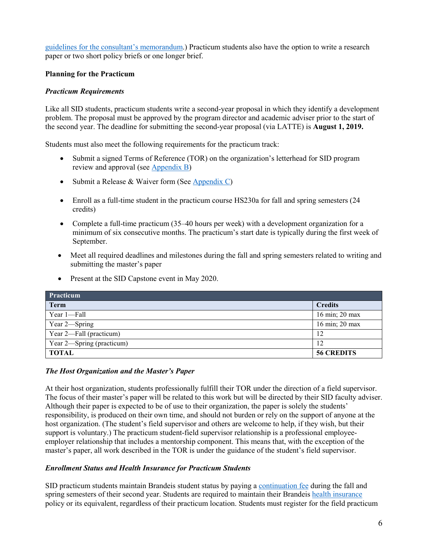[guidelines for the consultant's](#page-16-0) memorandum.) Practicum students also have the option to write a research paper or two short policy briefs or one longer brief.

# **Planning for the Practicum**

# *Practicum Requirements*

Like all SID students, practicum students write a second-year proposal in which they identify a development problem. The proposal must be approved by the program director and academic adviser prior to the start of the second year. The deadline for submitting the second-year proposal (via LATTE) is **August 1, 2019.**

Students must also meet the following requirements for the practicum track:

- Submit a signed Terms of Reference (TOR) on the organization's letterhead for SID program review and approval (see [Appendix B\)](#page-25-0)
- Submit a Release & Waiver form (See [Appendix C\)](#page-26-0)
- Enroll as a full-time student in the practicum course HS230a for fall and spring semesters (24) credits)
- Complete a full-time practicum (35–40 hours per week) with a development organization for a minimum of six consecutive months. The practicum's start date is typically during the first week of September.
- Meet all required deadlines and milestones during the fall and spring semesters related to writing and submitting the master's paper
- Present at the SID Capstone event in May 2020.

| <b>Practicum</b>          |                   |
|---------------------------|-------------------|
| <b>Term</b>               | <b>Credits</b>    |
| Year 1—Fall               | 16 min; 20 max    |
| Year 2—Spring             | 16 min; 20 max    |
| Year 2—Fall (practicum)   | 12                |
| Year 2—Spring (practicum) | 12                |
| TOTAL                     | <b>56 CREDITS</b> |

#### *The Host Organization and the Master's Paper*

At their host organization, students professionally fulfill their TOR under the direction of a field supervisor. The focus of their master's paper will be related to this work but will be directed by their SID faculty adviser. Although their paper is expected to be of use to their organization, the paper is solely the students' responsibility, is produced on their own time, and should not burden or rely on the support of anyone at the host organization. (The student's field supervisor and others are welcome to help, if they wish, but their support is voluntary.) The practicum student-field supervisor relationship is a professional employeeemployer relationship that includes a mentorship component. This means that, with the exception of the master's paper, all work described in the TOR is under the guidance of the student's field supervisor.

#### *Enrollment Status and Health Insurance for Practicum Students*

SID practicum students maintain Brandeis student status by paying a [continuation fee](https://heller.brandeis.edu/admissions/pdfs/2016-2017-costs/sid-coa-16.pdf) during the fall and spring semesters of their second year. Students are required to maintain their Brandei[s health insurance](http://www.brandeis.edu/health/insurance/index.html) policy or its equivalent, regardless of their practicum location. Students must register for the field practicum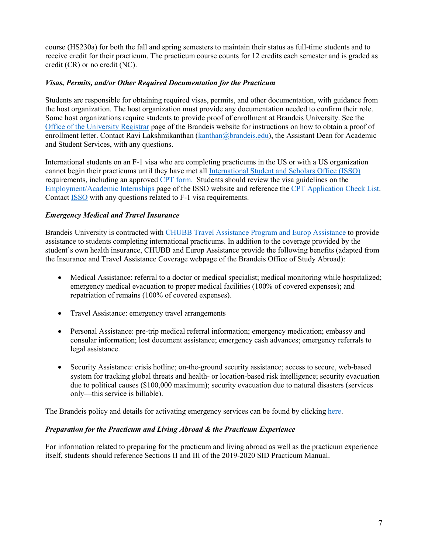course (HS230a) for both the fall and spring semesters to maintain their status as full-time students and to receive credit for their practicum. The practicum course counts for 12 credits each semester and is graded as credit (CR) or no credit (NC).

# *Visas, Permits, and/or Other Required Documentation for the Practicum*

Students are responsible for obtaining required visas, permits, and other documentation, with guidance from the host organization. The host organization must provide any documentation needed to confirm their role. Some host organizations require students to provide proof of enrollment at Brandeis University. See the [Office of the University Registrar](mailto:http://www.brandeis.edu/registrar/transcript/enrollment.html) page of the Brandeis website for instructions on how to obtain a proof of enrollment letter. Contact Ravi Lakshmikanthan [\(kanthan@brandeis.edu\)](mailto:kanthan@brandeis.edu), the Assistant Dean for Academic and Student Services, with any questions.

International students on an F-1 visa who are completing practicums in the US or with a US organization cannot begin their practicums until they have met all [International Student and Scholars Office \(ISSO\)](https://www.brandeis.edu/isso/) requirements, including an approved [CPT form.](mailto:http://www.brandeis.edu/isso/current/employment/cpt/) Students should review the visa guidelines on the [Employment/Academic Internships](https://www.brandeis.edu/isso/current/employment/index.html) page of the ISSO website and reference th[e CPT Application Check List.](https://brandeis.edu/isso/documents/current/employment/cpt/CPT_Application_Check_List.pdf)  Contact [ISSO](https://www.brandeis.edu/isso/about/contact.html) with any questions related to F-1 visa requirements.

# *Emergency Medical and Travel Insurance*

Brandeis University is contracted with [CHUBB Travel Assistance Program and Europ Assistance](https://eservices.europassistance-usa.com/sites/ACEAandH/Anon/Pages/Welcome.aspx?ReturnUrl=/sites/aceaandh/_layouts/Authenticate.aspx?Source=%2Fsites%2Faceaandh®Prompt=1) to provide assistance to students completing international practicums. In addition to the coverage provided by the student's own health insurance, CHUBB and Europ Assistance provide the following benefits (adapted from the Insurance and Travel Assistance Coverage webpage of the Brandeis Office of Study Abroad):

- Medical Assistance: referral to a doctor or medical specialist; medical monitoring while hospitalized; emergency medical evacuation to proper medical facilities (100% of covered expenses); and repatriation of remains (100% of covered expenses).
- Travel Assistance: emergency travel arrangements
- Personal Assistance: pre-trip medical referral information; emergency medication; embassy and consular information; lost document assistance; emergency cash advances; emergency referrals to legal assistance.
- Security Assistance: crisis hotline; on-the-ground security assistance; access to secure, web-based system for tracking global threats and health- or location-based risk intelligence; security evacuation due to political causes (\$100,000 maximum); security evacuation due to natural disasters (services only—this service is billable).

The Brandeis policy and details for activating emergency services can be found by clicking [here.](https://www.brandeis.edu/abroad/docs/year-semester/insurance/CHUBB-info.pdf)

#### *Preparation for the Practicum and Living Abroad & the Practicum Experience*

For information related to preparing for the practicum and living abroad as well as the practicum experience itself, students should reference Sections II and III of the 2019-2020 SID Practicum Manual.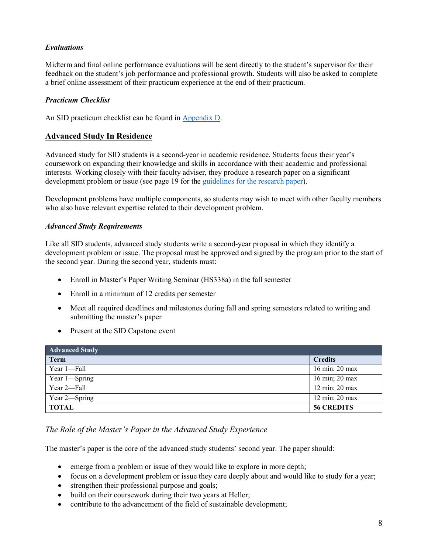# *Evaluations*

Midterm and final online performance evaluations will be sent directly to the student's supervisor for their feedback on the student's job performance and professional growth. Students will also be asked to complete a brief online assessment of their practicum experience at the end of their practicum.

# *Practicum Checklist*

An SID practicum checklist can be found in [Appendix D.](#page-28-0)

# **Advanced Study In Residence**

Advanced study for SID students is a second-year in academic residence. Students focus their year's coursework on expanding their knowledge and skills in accordance with their academic and professional interests. Working closely with their faculty adviser, they produce a research paper on a significant development problem or issue (see page 19 for the [guidelines for the research paper\)](#page-20-0).

Development problems have multiple components, so students may wish to meet with other faculty members who also have relevant expertise related to their development problem.

# *Advanced Study Requirements*

Like all SID students, advanced study students write a second-year proposal in which they identify a development problem or issue. The proposal must be approved and signed by the program prior to the start of the second year. During the second year, students must:

- Enroll in Master's Paper Writing Seminar (HS338a) in the fall semester
- Enroll in a minimum of 12 credits per semester
- Meet all required deadlines and milestones during fall and spring semesters related to writing and submitting the master's paper
- Present at the SID Capstone event

| <b>Advanced Study</b> |                   |  |
|-----------------------|-------------------|--|
| <b>Term</b>           | <b>Credits</b>    |  |
| Year 1-Fall           | 16 min; 20 max    |  |
| Year 1-Spring         | 16 min; 20 max    |  |
| Year 2-Fall           | 12 min; 20 max    |  |
| Year 2-Spring         | 12 min; 20 max    |  |
| <b>TOTAL</b>          | <b>56 CREDITS</b> |  |

# *The Role of the Master's Paper in the Advanced Study Experience*

The master's paper is the core of the advanced study students' second year. The paper should:

- emerge from a problem or issue of they would like to explore in more depth;
- focus on a development problem or issue they care deeply about and would like to study for a year;
- strengthen their professional purpose and goals;
- build on their coursework during their two years at Heller;
- contribute to the advancement of the field of sustainable development;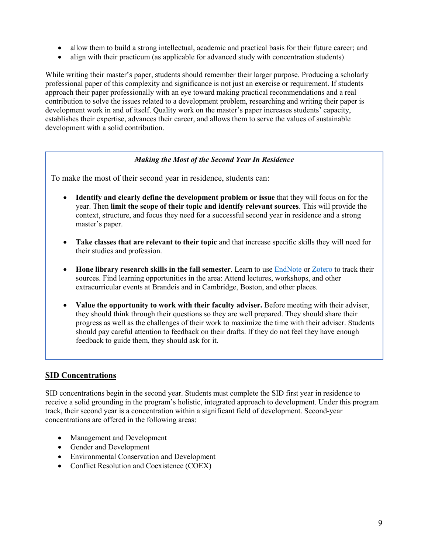- allow them to build a strong intellectual, academic and practical basis for their future career; and
- align with their practicum (as applicable for advanced study with concentration students)

While writing their master's paper, students should remember their larger purpose. Producing a scholarly professional paper of this complexity and significance is not just an exercise or requirement. If students approach their paper professionally with an eye toward making practical recommendations and a real contribution to solve the issues related to a development problem, researching and writing their paper is development work in and of itself. Quality work on the master's paper increases students' capacity, establishes their expertise, advances their career, and allows them to serve the values of sustainable development with a solid contribution.

# *Making the Most of the Second Year In Residence*

To make the most of their second year in residence, students can:

- **Identify and clearly define the development problem or issue** that they will focus on for the year. Then **limit the scope of their topic and identify relevant sources**. This will provide the context, structure, and focus they need for a successful second year in residence and a strong master's paper.
- **Take classes that are relevant to their topic** and that increase specific skills they will need for their studies and profession.
- **Hone library research skills in the fall semester**. Learn to use [EndNote](https://guides.library.brandeis.edu/EndNote) or [Zotero](https://guides.library.brandeis.edu/zotero/brandeis) to track their sources. Find learning opportunities in the area: Attend lectures, workshops, and other extracurricular events at Brandeis and in Cambridge, Boston, and other places.
- **Value the opportunity to work with their faculty adviser.** Before meeting with their adviser, they should think through their questions so they are well prepared. They should share their progress as well as the challenges of their work to maximize the time with their adviser. Students should pay careful attention to feedback on their drafts. If they do not feel they have enough feedback to guide them, they should ask for it.

# **SID Concentrations**

SID concentrations begin in the second year. Students must complete the SID first year in residence to receive a solid grounding in the program's holistic, integrated approach to development. Under this program track, their second year is a concentration within a significant field of development. Second-year concentrations are offered in the following areas:

- Management and Development
- Gender and Development
- Environmental Conservation and Development
- Conflict Resolution and Coexistence (COEX)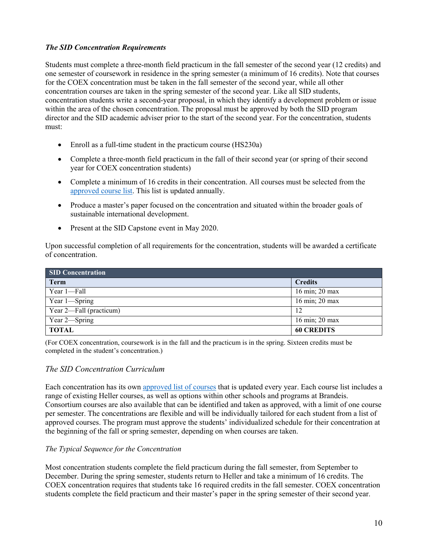# *The SID Concentration Requirements*

Students must complete a three-month field practicum in the fall semester of the second year (12 credits) and one semester of coursework in residence in the spring semester (a minimum of 16 credits). Note that courses for the COEX concentration must be taken in the fall semester of the second year, while all other concentration courses are taken in the spring semester of the second year. Like all SID students, concentration students write a second-year proposal, in which they identify a development problem or issue within the area of the chosen concentration. The proposal must be approved by both the SID program director and the SID academic adviser prior to the start of the second year. For the concentration, students must:

- Enroll as a full-time student in the practicum course (HS230a)
- Complete a three-month field practicum in the fall of their second year (or spring of their second year for COEX concentration students)
- Complete a minimum of 16 credits in their concentration. All courses must be selected from the [approved course list.](http://heller.brandeis.edu/sustainable-international-development/second-year/concentrations-environmental-conservation.html) This list is updated annually.
- Produce a master's paper focused on the concentration and situated within the broader goals of sustainable international development.
- Present at the SID Capstone event in May 2020.

Upon successful completion of all requirements for the concentration, students will be awarded a certificate of concentration.

| <b>SID Concentration</b> |                   |  |
|--------------------------|-------------------|--|
| <b>Term</b>              | <b>Credits</b>    |  |
| Year 1-Fall              | 16 min; 20 max    |  |
| Year 1-Spring            | 16 min; 20 max    |  |
| Year 2—Fall (practicum)  | 12                |  |
| Year 2-Spring            | 16 min; 20 max    |  |
| <b>TOTAL</b>             | <b>60 CREDITS</b> |  |

(For COEX concentration, coursework is in the fall and the practicum is in the spring. Sixteen credits must be completed in the student's concentration.)

# *The SID Concentration Curriculum*

Each concentration has its own [approved list of courses](http://heller.brandeis.edu/sustainable-international-development/second-year/concentrations.html) that is updated every year. Each course list includes a range of existing Heller courses, as well as options within other schools and programs at Brandeis. Consortium courses are also available that can be identified and taken as approved, with a limit of one course per semester. The concentrations are flexible and will be individually tailored for each student from a list of approved courses. The program must approve the students' individualized schedule for their concentration at the beginning of the fall or spring semester, depending on when courses are taken.

# *The Typical Sequence for the Concentration*

Most concentration students complete the field practicum during the fall semester, from September to December. During the spring semester, students return to Heller and take a minimum of 16 credits. The COEX concentration requires that students take 16 required credits in the fall semester. COEX concentration students complete the field practicum and their master's paper in the spring semester of their second year.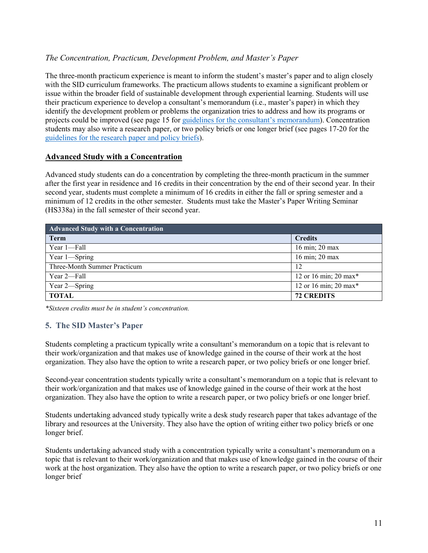# *The Concentration, Practicum, Development Problem, and Master's Paper*

The three-month practicum experience is meant to inform the student's master's paper and to align closely with the SID curriculum frameworks. The practicum allows students to examine a significant problem or issue within the broader field of sustainable development through experiential learning. Students will use their practicum experience to develop a consultant's memorandum (i.e., master's paper) in which they identify the development problem or problems the organization tries to address and how its programs or projects could be improved (see page 15 for [guidelines for the consultant's memorandum\)](#page-16-0). Concentration students may also write a research paper, or two policy briefs or one longer brief (see pages 17-20 for the [guidelines for the research paper and policy briefs\)](#page-18-0).

# **Advanced Study with a Concentration**

Advanced study students can do a concentration by completing the three-month practicum in the summer after the first year in residence and 16 credits in their concentration by the end of their second year. In their second year, students must complete a minimum of 16 credits in either the fall or spring semester and a minimum of 12 credits in the other semester. Students must take the Master's Paper Writing Seminar (HS338a) in the fall semester of their second year.

| <b>Advanced Study with a Concentration</b> |                       |  |
|--------------------------------------------|-----------------------|--|
| <b>Term</b>                                | <b>Credits</b>        |  |
| Year 1-Fall                                | 16 min; 20 max        |  |
| Year 1-Spring                              | 16 min; 20 max        |  |
| Three-Month Summer Practicum               | 12                    |  |
| Year 2—Fall                                | 12 or 16 min; 20 max* |  |
| Year 2-Spring                              | 12 or 16 min; 20 max* |  |
| <b>TOTAL</b>                               | <b>72 CREDITS</b>     |  |

*\*Sixteen credits must be in student's concentration.* 

# **5. The SID Master's Paper**

Students completing a practicum typically write a consultant's memorandum on a topic that is relevant to their work/organization and that makes use of knowledge gained in the course of their work at the host organization. They also have the option to write a research paper, or two policy briefs or one longer brief.

Second-year concentration students typically write a consultant's memorandum on a topic that is relevant to their work/organization and that makes use of knowledge gained in the course of their work at the host organization. They also have the option to write a research paper, or two policy briefs or one longer brief.

Students undertaking advanced study typically write a desk study research paper that takes advantage of the library and resources at the University. They also have the option of writing either two policy briefs or one longer brief.

Students undertaking advanced study with a concentration typically write a consultant's memorandum on a topic that is relevant to their work/organization and that makes use of knowledge gained in the course of their work at the host organization. They also have the option to write a research paper, or two policy briefs or one longer brief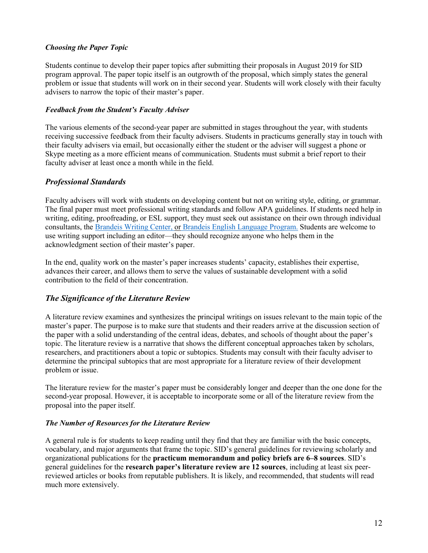# *Choosing the Paper Topic*

Students continue to develop their paper topics after submitting their proposals in August 2019 for SID program approval. The paper topic itself is an outgrowth of the proposal, which simply states the general problem or issue that students will work on in their second year. Students will work closely with their faculty advisers to narrow the topic of their master's paper.

# *Feedback from the Student's Faculty Adviser*

The various elements of the second-year paper are submitted in stages throughout the year, with students receiving successive feedback from their faculty advisers. Students in practicums generally stay in touch with their faculty advisers via email, but occasionally either the student or the adviser will suggest a phone or Skype meeting as a more efficient means of communication. Students must submit a brief report to their faculty adviser at least once a month while in the field.

# *Professional Standards*

Faculty advisers will work with students on developing content but not on writing style, editing, or grammar. The final paper must meet professional writing standards and follow APA guidelines. If students need help in writing, editing, proofreading, or ESL support, they must seek out assistance on their own through individual consultants, the [Brandeis Writing Center,](http://www.brandeis.edu/writingprogram/writingcenter/) or [Brandeis English Language Program.](http://www.brandeis.edu/elp/) Students are welcome to use writing support including an editor—they should recognize anyone who helps them in the acknowledgment section of their master's paper.

In the end, quality work on the master's paper increases students' capacity, establishes their expertise, advances their career, and allows them to serve the values of sustainable development with a solid contribution to the field of their concentration.

# *The Significance of the Literature Review*

A literature review examines and synthesizes the principal writings on issues relevant to the main topic of the master's paper. The purpose is to make sure that students and their readers arrive at the discussion section of the paper with a solid understanding of the central ideas, debates, and schools of thought about the paper's topic. The literature review is a narrative that shows the different conceptual approaches taken by scholars, researchers, and practitioners about a topic or subtopics. Students may consult with their faculty adviser to determine the principal subtopics that are most appropriate for a literature review of their development problem or issue.

The literature review for the master's paper must be considerably longer and deeper than the one done for the second-year proposal. However, it is acceptable to incorporate some or all of the literature review from the proposal into the paper itself.

# *The Number of Resources for the Literature Review*

A general rule is for students to keep reading until they find that they are familiar with the basic concepts, vocabulary, and major arguments that frame the topic. SID's general guidelines for reviewing scholarly and organizational publications for the **practicum memorandum and policy briefs are 6–8 sources**. SID's general guidelines for the **research paper's literature review are 12 sources**, including at least six peerreviewed articles or books from reputable publishers. It is likely, and recommended, that students will read much more extensively.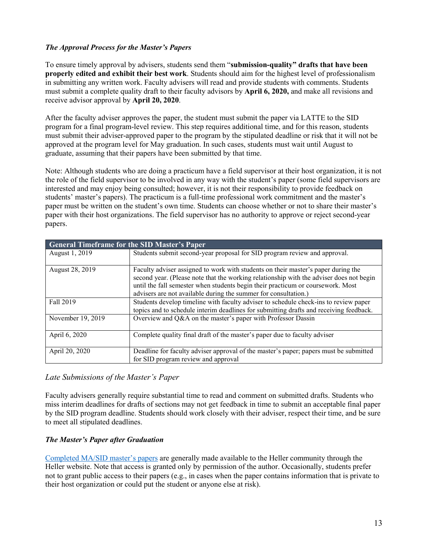# *The Approval Process for the Master's Papers*

To ensure timely approval by advisers, students send them "**submission-quality" drafts that have been properly edited and exhibit their best work**. Students should aim for the highest level of professionalism in submitting any written work. Faculty advisers will read and provide students with comments. Students must submit a complete quality draft to their faculty advisors by **April 6, 2020,** and make all revisions and receive advisor approval by **April 20, 2020**.

After the faculty adviser approves the paper, the student must submit the paper via LATTE to the SID program for a final program-level review. This step requires additional time, and for this reason, students must submit their adviser-approved paper to the program by the stipulated deadline or risk that it will not be approved at the program level for May graduation. In such cases, students must wait until August to graduate, assuming that their papers have been submitted by that time.

Note: Although students who are doing a practicum have a field supervisor at their host organization, it is not the role of the field supervisor to be involved in any way with the student's paper (some field supervisors are interested and may enjoy being consulted; however, it is not their responsibility to provide feedback on students' master's papers). The practicum is a full-time professional work commitment and the master's paper must be written on the student's own time. Students can choose whether or not to share their master's paper with their host organizations. The field supervisor has no authority to approve or reject second-year papers.

| <b>General Timeframe for the SID Master's Paper</b> |                                                                                                                                                                                                                                                                                                                                    |  |  |  |  |
|-----------------------------------------------------|------------------------------------------------------------------------------------------------------------------------------------------------------------------------------------------------------------------------------------------------------------------------------------------------------------------------------------|--|--|--|--|
| August 1, 2019                                      | Students submit second-year proposal for SID program review and approval.                                                                                                                                                                                                                                                          |  |  |  |  |
| August 28, 2019                                     | Faculty adviser assigned to work with students on their master's paper during the<br>second year. (Please note that the working relationship with the adviser does not begin<br>until the fall semester when students begin their practicum or coursework. Most<br>advisers are not available during the summer for consultation.) |  |  |  |  |
| Fall 2019                                           | Students develop timeline with faculty adviser to schedule check-ins to review paper<br>topics and to schedule interim deadlines for submitting drafts and receiving feedback.                                                                                                                                                     |  |  |  |  |
| November 19, 2019                                   | Overview and Q&A on the master's paper with Professor Dassin                                                                                                                                                                                                                                                                       |  |  |  |  |
| April 6, 2020                                       | Complete quality final draft of the master's paper due to faculty adviser                                                                                                                                                                                                                                                          |  |  |  |  |
| April 20, 2020                                      | Deadline for faculty adviser approval of the master's paper; papers must be submitted<br>for SID program review and approval                                                                                                                                                                                                       |  |  |  |  |

# *Late Submissions of the Master's Paper*

Faculty advisers generally require substantial time to read and comment on submitted drafts. Students who miss interim deadlines for drafts of sections may not get feedback in time to submit an acceptable final paper by the SID program deadline. Students should work closely with their adviser, respect their time, and be sure to meet all stipulated deadlines.

# *The Master's Paper after Graduation*

[Completed MA/SID master's papers](https://www.brandeis.edu/heller/heller/students/academics/sid/masters-papers/index.html) are generally made available to the Heller community through the Heller website. Note that access is granted only by permission of the author. Occasionally, students prefer not to grant public access to their papers (e.g., in cases when the paper contains information that is private to their host organization or could put the student or anyone else at risk).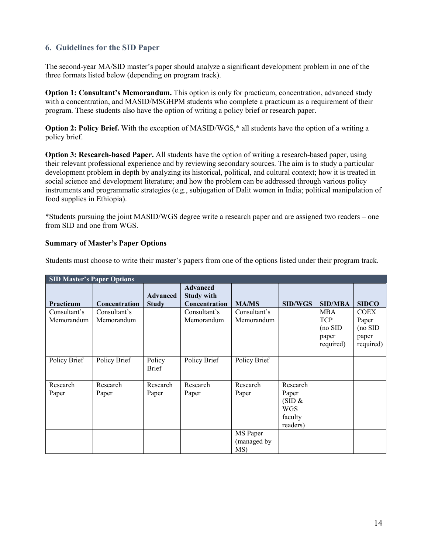# **6. Guidelines for the SID Paper**

The second-year MA/SID master's paper should analyze a significant development problem in one of the three formats listed below (depending on program track).

**Option 1: Consultant's Memorandum.** This option is only for practicum, concentration, advanced study with a concentration, and MASID/MSGHPM students who complete a practicum as a requirement of their program. These students also have the option of writing a policy brief or research paper.

**Option 2: Policy Brief.** With the exception of MASID/WGS,<sup>\*</sup> all students have the option of a writing a policy brief.

**Option 3: Research-based Paper.** All students have the option of writing a research-based paper, using their relevant professional experience and by reviewing secondary sources. The aim is to study a particular development problem in depth by analyzing its historical, political, and cultural context; how it is treated in social science and development literature; and how the problem can be addressed through various policy instruments and programmatic strategies (e.g., subjugation of Dalit women in India; political manipulation of food supplies in Ethiopia).

\*Students pursuing the joint MASID/WGS degree write a research paper and are assigned two readers – one from SID and one from WGS.

#### **Summary of Master's Paper Options**

Students must choose to write their master's papers from one of the options listed under their program track.

| <b>SID Master's Paper Options</b> |                            |                                 |                                                       |                                |                                                                  |                                                             |                                                       |  |
|-----------------------------------|----------------------------|---------------------------------|-------------------------------------------------------|--------------------------------|------------------------------------------------------------------|-------------------------------------------------------------|-------------------------------------------------------|--|
| Practicum                         | Concentration              | <b>Advanced</b><br><b>Study</b> | <b>Advanced</b><br><b>Study with</b><br>Concentration | <b>MA/MS</b>                   | <b>SID/WGS</b>                                                   | <b>SID/MBA</b>                                              | <b>SIDCO</b>                                          |  |
| Consultant's<br>Memorandum        | Consultant's<br>Memorandum |                                 | Consultant's<br>Memorandum                            | Consultant's<br>Memorandum     |                                                                  | <b>MBA</b><br><b>TCP</b><br>$(no$ SID<br>paper<br>required) | <b>COEX</b><br>Paper<br>(no SID<br>paper<br>required) |  |
| Policy Brief                      | Policy Brief               | Policy<br><b>Brief</b>          | Policy Brief                                          | Policy Brief                   |                                                                  |                                                             |                                                       |  |
| Research<br>Paper                 | Research<br>Paper          | Research<br>Paper               | Research<br>Paper                                     | Research<br>Paper              | Research<br>Paper<br>(SID &<br><b>WGS</b><br>faculty<br>readers) |                                                             |                                                       |  |
|                                   |                            |                                 |                                                       | MS Paper<br>(managed by<br>MS) |                                                                  |                                                             |                                                       |  |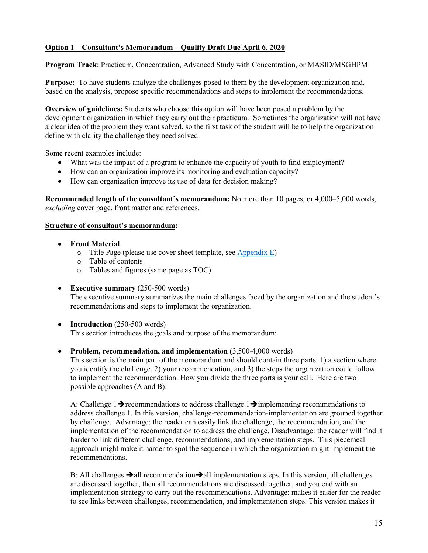# <span id="page-16-0"></span>**Option 1—Consultant's Memorandum – Quality Draft Due April 6, 2020**

**Program Track**: Practicum, Concentration, Advanced Study with Concentration, or MASID/MSGHPM

**Purpose:** To have students analyze the challenges posed to them by the development organization and, based on the analysis, propose specific recommendations and steps to implement the recommendations.

**Overview of guidelines:** Students who choose this option will have been posed a problem by the development organization in which they carry out their practicum. Sometimes the organization will not have a clear idea of the problem they want solved, so the first task of the student will be to help the organization define with clarity the challenge they need solved.

Some recent examples include:

- What was the impact of a program to enhance the capacity of youth to find employment?
- How can an organization improve its monitoring and evaluation capacity?
- How can organization improve its use of data for decision making?

**Recommended length of the consultant's memorandum:** No more than 10 pages, or 4,000–5,000 words, *excluding* cover page, front matter and references.

#### **Structure of consultant's memorandum:**

- **Front Material**
	- $\circ$  Title Page (please use cover sheet template, see [Appendix E\)](#page-29-0)
	- o Table of contents
	- o Tables and figures (same page as TOC)
- **Executive summary** (250-500 words)

The executive summary summarizes the main challenges faced by the organization and the student's recommendations and steps to implement the organization.

• **Introduction** (250-500 words)

This section introduces the goals and purpose of the memorandum:

• **Problem, recommendation, and implementation (**3,500-4,000 words)

This section is the main part of the memorandum and should contain three parts: 1) a section where you identify the challenge, 2) your recommendation, and 3) the steps the organization could follow to implement the recommendation. How you divide the three parts is your call. Here are two possible approaches (A and B):

A: Challenge 1 $\rightarrow$  recommendations to address challenge 1 $\rightarrow$  implementing recommendations to address challenge 1. In this version, challenge-recommendation-implementation are grouped together by challenge. Advantage: the reader can easily link the challenge, the recommendation, and the implementation of the recommendation to address the challenge. Disadvantage: the reader will find it harder to link different challenge, recommendations, and implementation steps. This piecemeal approach might make it harder to spot the sequence in which the organization might implement the recommendations.

B: All challenges  $\rightarrow$  all recommendation  $\rightarrow$  all implementation steps. In this version, all challenges are discussed together, then all recommendations are discussed together, and you end with an implementation strategy to carry out the recommendations. Advantage: makes it easier for the reader to see links between challenges, recommendation, and implementation steps. This version makes it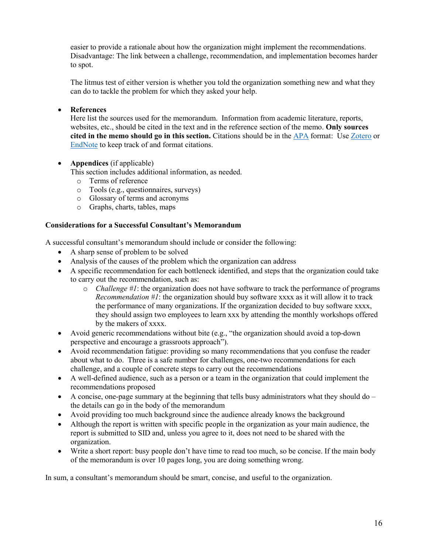easier to provide a rationale about how the organization might implement the recommendations. Disadvantage: The link between a challenge, recommendation, and implementation becomes harder to spot.

The litmus test of either version is whether you told the organization something new and what they can do to tackle the problem for which they asked your help.

# • **References**

Here list the sources used for the memorandum. Information from academic literature, reports, websites, etc., should be cited in the text and in the reference section of the memo. **Only sources cited in the memo should go in this section.** Citations should be in the [APA](mailto:https://owl.english.purdue.edu/owl/resource/560/02/) format: Use [Zotero](mailto:http://guides.library.brandeis.edu/zotero) or [EndNote](mailto:http://guides.library.brandeis.edu/srch.php%3Fq=endnote%26guide_id=301790) to keep track of and format citations.

• **Appendices** (if applicable)

This section includes additional information, as needed.

- o Terms of reference
- o Tools (e.g., questionnaires, surveys)
- o Glossary of terms and acronyms
- o Graphs, charts, tables, maps

# **Considerations for a Successful Consultant's Memorandum**

A successful consultant's memorandum should include or consider the following:

- A sharp sense of problem to be solved
- Analysis of the causes of the problem which the organization can address
- A specific recommendation for each bottleneck identified, and steps that the organization could take to carry out the recommendation, such as:
	- o *Challenge #1*: the organization does not have software to track the performance of programs *Recommendation #1*: the organization should buy software xxxx as it will allow it to track the performance of many organizations. If the organization decided to buy software xxxx, they should assign two employees to learn xxx by attending the monthly workshops offered by the makers of xxxx.
- Avoid generic recommendations without bite (e.g., "the organization should avoid a top-down perspective and encourage a grassroots approach").
- Avoid recommendation fatigue: providing so many recommendations that you confuse the reader about what to do. Three is a safe number for challenges, one-two recommendations for each challenge, and a couple of concrete steps to carry out the recommendations
- A well-defined audience, such as a person or a team in the organization that could implement the recommendations proposed
- A concise, one-page summary at the beginning that tells busy administrators what they should do  $$ the details can go in the body of the memorandum
- Avoid providing too much background since the audience already knows the background
- Although the report is written with specific people in the organization as your main audience, the report is submitted to SID and, unless you agree to it, does not need to be shared with the organization.
- Write a short report: busy people don't have time to read too much, so be concise. If the main body of the memorandum is over 10 pages long, you are doing something wrong.

In sum, a consultant's memorandum should be smart, concise, and useful to the organization.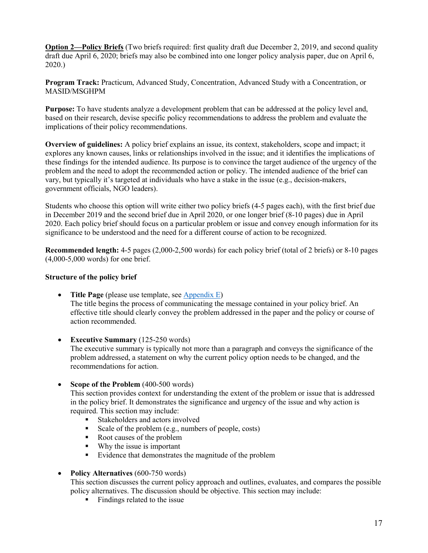<span id="page-18-0"></span>**Option 2—Policy Briefs** (Two briefs required: first quality draft due December 2, 2019, and second quality draft due April 6, 2020; briefs may also be combined into one longer policy analysis paper, due on April 6, 2020.)

**Program Track:** Practicum, Advanced Study, Concentration, Advanced Study with a Concentration, or MASID/MSGHPM

**Purpose:** To have students analyze a development problem that can be addressed at the policy level and, based on their research, devise specific policy recommendations to address the problem and evaluate the implications of their policy recommendations.

**Overview of guidelines:** A policy brief explains an issue, its context, stakeholders, scope and impact; it explores any known causes, links or relationships involved in the issue; and it identifies the implications of these findings for the intended audience. Its purpose is to convince the target audience of the urgency of the problem and the need to adopt the recommended action or policy. The intended audience of the brief can vary, but typically it's targeted at individuals who have a stake in the issue (e.g., decision-makers, government officials, NGO leaders).

Students who choose this option will write either two policy briefs (4-5 pages each), with the first brief due in December 2019 and the second brief due in April 2020, or one longer brief (8-10 pages) due in April 2020. Each policy brief should focus on a particular problem or issue and convey enough information for its significance to be understood and the need for a different course of action to be recognized.

**Recommended length:**  $4-5$  pages (2,000-2,500 words) for each policy brief (total of 2 briefs) or 8-10 pages (4,000-5,000 words) for one brief.

#### **Structure of the policy brief**

- **Title Page** (please use template, see [Appendix E\)](#page-29-0) The title begins the process of communicating the message contained in your policy brief. An effective title should clearly convey the problem addressed in the paper and the policy or course of action recommended.
- **Executive Summary** (125-250 words) The executive summary is typically not more than a paragraph and conveys the significance of the problem addressed, a statement on why the current policy option needs to be changed, and the recommendations for action.
- **Scope of the Problem** (400-500 words)

This section provides context for understanding the extent of the problem or issue that is addressed in the policy brief. It demonstrates the significance and urgency of the issue and why action is required. This section may include:

- Stakeholders and actors involved
- Scale of the problem (e.g., numbers of people, costs)
- Root causes of the problem
- Why the issue is important
- **Evidence that demonstrates the magnitude of the problem**
- **Policy Alternatives** (600-750 words)

This section discusses the current policy approach and outlines, evaluates, and compares the possible policy alternatives. The discussion should be objective. This section may include:

• Findings related to the issue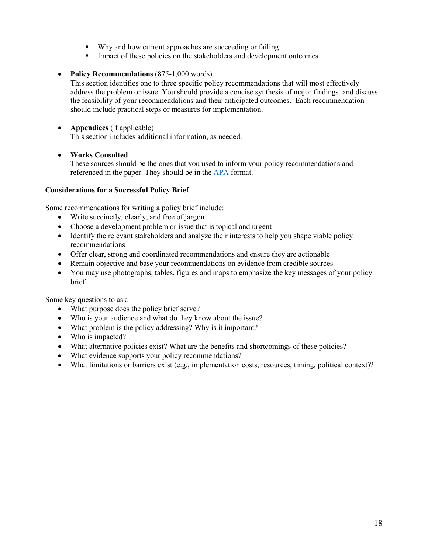- Why and how current approaches are succeeding or failing
- Impact of these policies on the stakeholders and development outcomes
- **Policy Recommendations** (875-1,000 words)

This section identifies one to three specific policy recommendations that will most effectively address the problem or issue. You should provide a concise synthesis of major findings, and discuss the feasibility of your recommendations and their anticipated outcomes. Each recommendation should include practical steps or measures for implementation.

# • **Appendices** (if applicable)

This section includes additional information, as needed.

# • **Works Consulted**

These sources should be the ones that you used to inform your policy recommendations and referenced in the paper. They should be in the [APA](mailto:https://owl.english.purdue.edu/owl/resource/560/02/) format.

# **Considerations for a Successful Policy Brief**

Some recommendations for writing a policy brief include:

- Write succinctly, clearly, and free of jargon
- Choose a development problem or issue that is topical and urgent
- Identify the relevant stakeholders and analyze their interests to help you shape viable policy recommendations
- Offer clear, strong and coordinated recommendations and ensure they are actionable
- Remain objective and base your recommendations on evidence from credible sources
- You may use photographs, tables, figures and maps to emphasize the key messages of your policy brief

Some key questions to ask:

- What purpose does the policy brief serve?
- Who is your audience and what do they know about the issue?
- What problem is the policy addressing? Why is it important?
- Who is impacted?
- What alternative policies exist? What are the benefits and shortcomings of these policies?
- What evidence supports your policy recommendations?
- What limitations or barriers exist (e.g., implementation costs, resources, timing, political context)?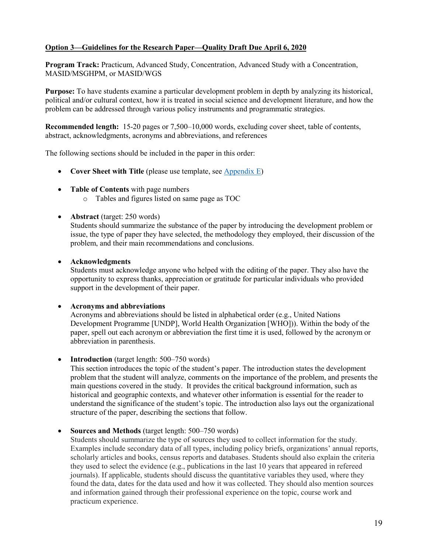# <span id="page-20-0"></span>**Option 3—Guidelines for the Research Paper—Quality Draft Due April 6, 2020**

**Program Track:** Practicum, Advanced Study, Concentration, Advanced Study with a Concentration, MASID/MSGHPM, or MASID/WGS

**Purpose:** To have students examine a particular development problem in depth by analyzing its historical, political and/or cultural context, how it is treated in social science and development literature, and how the problem can be addressed through various policy instruments and programmatic strategies.

**Recommended length:** 15-20 pages or 7,500–10,000 words, excluding cover sheet, table of contents, abstract, acknowledgments, acronyms and abbreviations, and references

The following sections should be included in the paper in this order:

- **Cover Sheet with Title** (please use template, see [Appendix E\)](#page-29-0)
- **Table of Contents** with page numbers
	- o Tables and figures listed on same page as TOC
- **Abstract** (target: 250 words)

Students should summarize the substance of the paper by introducing the development problem or issue, the type of paper they have selected, the methodology they employed, their discussion of the problem, and their main recommendations and conclusions.

# • **Acknowledgments**

Students must acknowledge anyone who helped with the editing of the paper. They also have the opportunity to express thanks, appreciation or gratitude for particular individuals who provided support in the development of their paper.

#### • **Acronyms and abbreviations**

Acronyms and abbreviations should be listed in alphabetical order (e.g., United Nations Development Programme [UNDP], World Health Organization [WHO])). Within the body of the paper, spell out each acronym or abbreviation the first time it is used, followed by the acronym or abbreviation in parenthesis.

• **Introduction** (target length: 500–750 words)

This section introduces the topic of the student's paper. The introduction states the development problem that the student will analyze, comments on the importance of the problem, and presents the main questions covered in the study. It provides the critical background information, such as historical and geographic contexts, and whatever other information is essential for the reader to understand the significance of the student's topic. The introduction also lays out the organizational structure of the paper, describing the sections that follow.

• **Sources and Methods** (target length: 500–750 words)

Students should summarize the type of sources they used to collect information for the study. Examples include secondary data of all types, including policy briefs, organizations' annual reports, scholarly articles and books, census reports and databases. Students should also explain the criteria they used to select the evidence (e.g., publications in the last 10 years that appeared in refereed journals). If applicable, students should discuss the quantitative variables they used, where they found the data, dates for the data used and how it was collected. They should also mention sources and information gained through their professional experience on the topic, course work and practicum experience.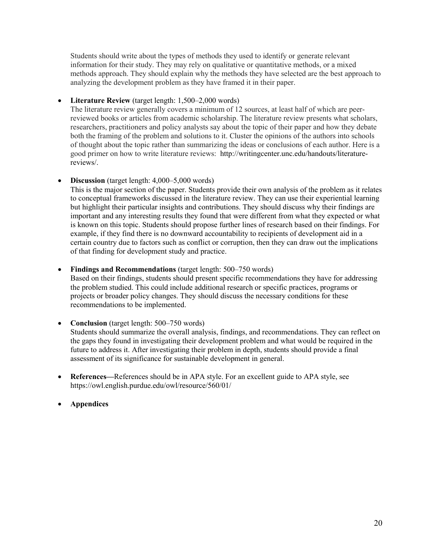Students should write about the types of methods they used to identify or generate relevant information for their study. They may rely on qualitative or quantitative methods, or a mixed methods approach. They should explain why the methods they have selected are the best approach to analyzing the development problem as they have framed it in their paper.

# • **Literature Review** (target length: 1,500–2,000 words)

The literature review generally covers a minimum of 12 sources, at least half of which are peerreviewed books or articles from academic scholarship. The literature review presents what scholars, researchers, practitioners and policy analysts say about the topic of their paper and how they debate both the framing of the problem and solutions to it. Cluster the opinions of the authors into schools of thought about the topic rather than summarizing the ideas or conclusions of each author. Here is a good primer on how to write literature reviews: [http://writingcenter.unc.edu/handouts/literature](http://writingcenter.unc.edu/handouts/literature-reviews/)[reviews/.](http://writingcenter.unc.edu/handouts/literature-reviews/)

# • **Discussion** (target length: 4,000–5,000 words)

This is the major section of the paper. Students provide their own analysis of the problem as it relates to conceptual frameworks discussed in the literature review. They can use their experiential learning but highlight their particular insights and contributions. They should discuss why their findings are important and any interesting results they found that were different from what they expected or what is known on this topic. Students should propose further lines of research based on their findings. For example, if they find there is no downward accountability to recipients of development aid in a certain country due to factors such as conflict or corruption, then they can draw out the implications of that finding for development study and practice.

# • **Findings and Recommendations** (target length: 500–750 words)

Based on their findings, students should present specific recommendations they have for addressing the problem studied. This could include additional research or specific practices, programs or projects or broader policy changes. They should discuss the necessary conditions for these recommendations to be implemented.

#### • **Conclusion** (target length: 500–750 words) Students should summarize the overall analysis, findings, and recommendations. They can reflect on the gaps they found in investigating their development problem and what would be required in the future to address it. After investigating their problem in depth, students should provide a final assessment of its significance for sustainable development in general.

- **References—**References should be in APA style. For an excellent guide to APA style, see <https://owl.english.purdue.edu/owl/resource/560/01/>
- **Appendices**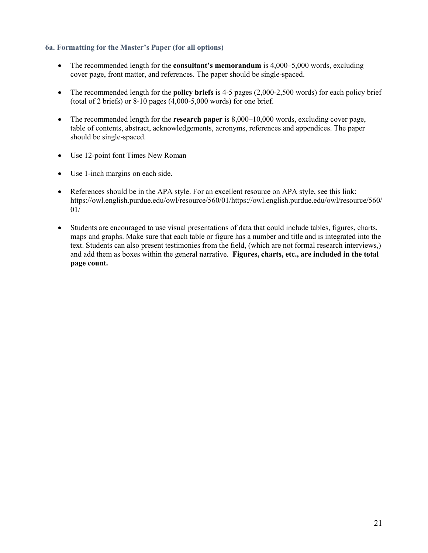# **6a. Formatting for the Master's Paper (for all options)**

- The recommended length for the **consultant's memorandum** is 4,000–5,000 words, excluding cover page, front matter, and references. The paper should be single-spaced.
- The recommended length for the **policy briefs** is 4-5 pages (2,000-2,500 words) for each policy brief (total of 2 briefs) or  $8-10$  pages  $(4,000-5,000$  words) for one brief.
- The recommended length for the **research paper** is 8,000–10,000 words, excluding cover page, table of contents, abstract, acknowledgements, acronyms, references and appendices. The paper should be single-spaced.
- Use 12-point font Times New Roman
- Use 1-inch margins on each side.
- References should be in the APA style. For an excellent resource on APA style, see this link: [https://owl.english.purdue.edu/owl/resource/560/01/https://owl.english.purdue.edu/owl/resource/560/](https://owl.english.purdue.edu/owl/resource/560/01/) [01/](https://owl.english.purdue.edu/owl/resource/560/01/)
- Students are encouraged to use visual presentations of data that could include tables, figures, charts, maps and graphs. Make sure that each table or figure has a number and title and is integrated into the text. Students can also present testimonies from the field, (which are not formal research interviews,) and add them as boxes within the general narrative. **Figures, charts, etc., are included in the total page count.**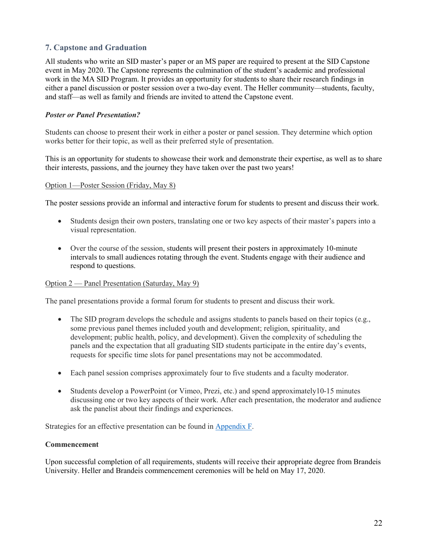# **7. Capstone and Graduation**

All students who write an SID master's paper or an MS paper are required to present at the SID Capstone event in May 2020. The Capstone represents the culmination of the student's academic and professional work in the MA SID Program. It provides an opportunity for students to share their research findings in either a panel discussion or poster session over a two-day event. The Heller community—students, faculty, and staff—as well as family and friends are invited to attend the Capstone event.

# *Poster or Panel Presentation?*

Students can choose to present their work in either a poster or panel session. They determine which option works better for their topic, as well as their preferred style of presentation.

This is an opportunity for students to showcase their work and demonstrate their expertise, as well as to share their interests, passions, and the journey they have taken over the past two years!

#### Option 1—Poster Session (Friday, May 8)

The poster sessions provide an informal and interactive forum for students to present and discuss their work.

- Students design their own posters, translating one or two key aspects of their master's papers into a visual representation.
- Over the course of the session, students will present their posters in approximately 10-minute intervals to small audiences rotating through the event. Students engage with their audience and respond to questions.

#### Option 2 — Panel Presentation (Saturday, May 9)

The panel presentations provide a formal forum for students to present and discuss their work.

- The SID program develops the schedule and assigns students to panels based on their topics (e.g., some previous panel themes included youth and development; religion, spirituality, and development; public health, policy, and development). Given the complexity of scheduling the panels and the expectation that all graduating SID students participate in the entire day's events, requests for specific time slots for panel presentations may not be accommodated.
- Each panel session comprises approximately four to five students and a faculty moderator.
- Students develop a PowerPoint (or Vimeo, Prezi, etc.) and spend approximately10-15 minutes discussing one or two key aspects of their work. After each presentation, the moderator and audience ask the panelist about their findings and experiences.

Strategies for an effective presentation can be found in [Appendix F.](#page-30-0)

#### **Commencement**

Upon successful completion of all requirements, students will receive their appropriate degree from Brandeis University. Heller and Brandeis commencement ceremonies will be held on May 17, 2020.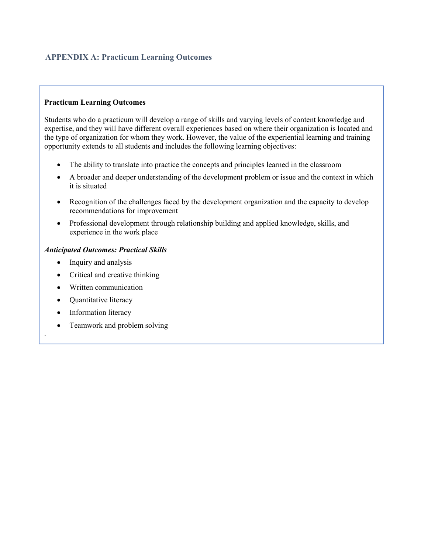# <span id="page-24-0"></span>**APPENDIX A: Practicum Learning Outcomes**

# **Practicum Learning Outcomes**

Students who do a practicum will develop a range of skills and varying levels of content knowledge and expertise, and they will have different overall experiences based on where their organization is located and the type of organization for whom they work. However, the value of the experiential learning and training opportunity extends to all students and includes the following learning objectives:

- The ability to translate into practice the concepts and principles learned in the classroom
- A broader and deeper understanding of the development problem or issue and the context in which it is situated
- Recognition of the challenges faced by the development organization and the capacity to develop recommendations for improvement
- Professional development through relationship building and applied knowledge, skills, and experience in the work place

# *Anticipated Outcomes: Practical Skills*

- Inquiry and analysis
- Critical and creative thinking
- Written communication
- Quantitative literacy
- Information literacy

.

• Teamwork and problem solving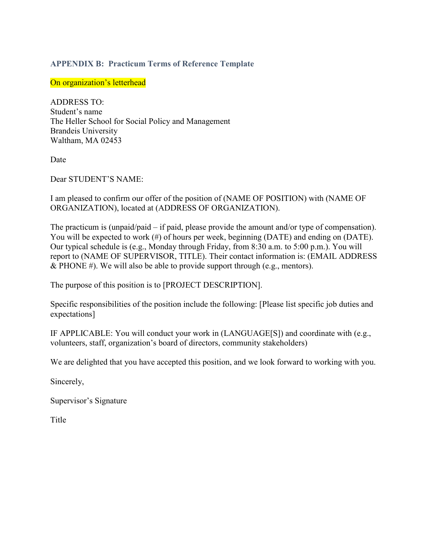# <span id="page-25-0"></span>**APPENDIX B: Practicum Terms of Reference Template**

On organization's letterhead

ADDRESS TO: Student's name The Heller School for Social Policy and Management Brandeis University Waltham, MA 02453

Date

Dear STUDENT'S NAME:

I am pleased to confirm our offer of the position of (NAME OF POSITION) with (NAME OF ORGANIZATION), located at (ADDRESS OF ORGANIZATION).

The practicum is (unpaid/paid – if paid, please provide the amount and/or type of compensation). You will be expected to work (#) of hours per week, beginning (DATE) and ending on (DATE). Our typical schedule is (e.g., Monday through Friday, from 8:30 a.m. to 5:00 p.m.). You will report to (NAME OF SUPERVISOR, TITLE). Their contact information is: (EMAIL ADDRESS  $&$  PHONE #). We will also be able to provide support through (e.g., mentors).

The purpose of this position is to [PROJECT DESCRIPTION].

Specific responsibilities of the position include the following: [Please list specific job duties and expectations]

IF APPLICABLE: You will conduct your work in (LANGUAGE[S]) and coordinate with (e.g., volunteers, staff, organization's board of directors, community stakeholders)

We are delighted that you have accepted this position, and we look forward to working with you.

Sincerely,

Supervisor's Signature

Title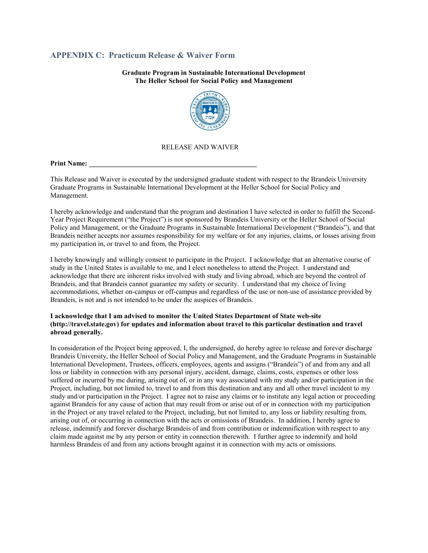# <span id="page-26-0"></span>**APPENDIX C: Practicum Release & Waiver Form**

**Graduate Program in Sustainable International Development The Heller School for Social Policy and Management**



#### RELEASE AND WAIVER

**Print Name:** 

This Release and Waiver is executed by the undersigned graduate student with respect to the Brandeis University Graduate Programs in Sustainable International Development at the Heller School for Social Policy and Management.

I hereby acknowledge and understand that the program and destination I have selected in order to fulfill the Second-Year Project Requirement ("the Project") is not sponsored by Brandeis University or the Heller School of Social Policy and Management, or the Graduate Programs in Sustainable International Development ("Brandeis"), and that Brandeis neither accepts nor assumes responsibility for my welfare or for any injuries, claims, or losses arising from my participation in, or travel to and from, the Project.

I hereby knowingly and willingly consent to participate in the Project. I acknowledge that an alternative course of study in the United States is available to me, and I elect nonetheless to attend the Project. I understand and acknowledge that there are inherent risks involved with study and living abroad, which are beyond the control of Brandeis, and that Brandeis cannot guarantee my safety or security. I understand that my choice of living accommodations, whether on-campus or off-campus and regardless of the use or non-use of assistance provided by Brandeis, is not and is not intended to be under the auspices of Brandeis.

#### **I acknowledge that I am advised to monitor the United States Department of State web-site [\(http://travel.state.gov\)](http://travel.state.gov/) for updates and information about travel to this particular destination and travel abroad generally.**

In consideration of the Project being approved, I, the undersigned, do hereby agree to release and forever discharge Brandeis University, the Heller School of Social Policy and Management, and the Graduate Programs in Sustainable International Development, Trustees, officers, employees, agents and assigns ("Brandeis") of and from any and all loss or liability in connection with any personal injury, accident, damage, claims, costs, expenses or other loss suffered or incurred by me during, arising out of, or in any way associated with my study and/or participation in the Project, including, but not limited to, travel to and from this destination and any and all other travel incident to my study and/or participation in the Project. I agree not to raise any claims or to institute any legal action or proceeding against Brandeis for any cause of action that may result from or arise out of or in connection with my participation in the Project or any travel related to the Project, including, but not limited to, any loss or liability resulting from, arising out of, or occurring in connection with the acts or omissions of Brandeis. In addition, I hereby agree to release, indemnify and forever discharge Brandeis of and from contribution or indemnification with respect to any claim made against me by any person or entity in connection therewith. I further agree to indemnify and hold harmless Brandeis of and from any actions brought against it in connection with my acts or omissions.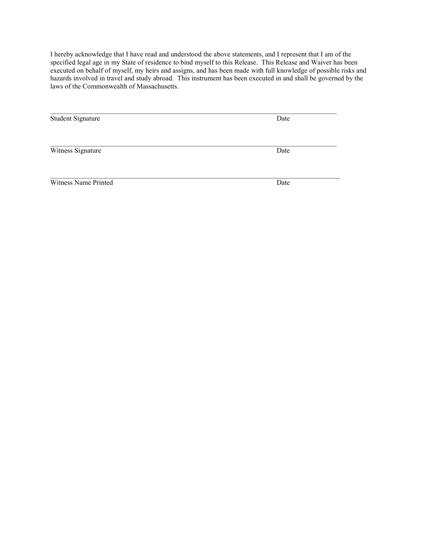I hereby acknowledge that I have read and understood the above statements, and I represent that I am of the specified legal age in my State of residence to bind myself to this Release. This Release and Waiver has been executed on behalf of myself, my heirs and assigns, and has been made with full knowledge of possible risks and hazards involved in travel and study abroad. This instrument has been executed in and shall be governed by the laws of the Commonwealth of Massachusetts.

| <b>Student Signature</b> | Date |
|--------------------------|------|
|                          |      |
| Witness Signature        | Date |
| Witness Name Printed     | Date |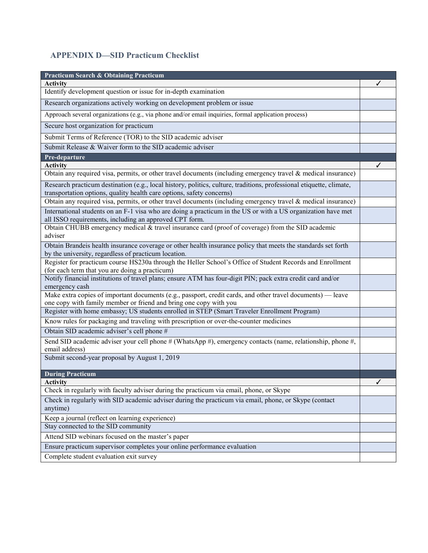# <span id="page-28-0"></span>**APPENDIX D—SID Practicum Checklist**

| <b>Practicum Search &amp; Obtaining Practicum</b>                                                                                                                                             |  |  |  |  |
|-----------------------------------------------------------------------------------------------------------------------------------------------------------------------------------------------|--|--|--|--|
| <b>Activity</b>                                                                                                                                                                               |  |  |  |  |
| Identify development question or issue for in-depth examination                                                                                                                               |  |  |  |  |
| Research organizations actively working on development problem or issue                                                                                                                       |  |  |  |  |
| Approach several organizations (e.g., via phone and/or email inquiries, formal application process)                                                                                           |  |  |  |  |
| Secure host organization for practicum                                                                                                                                                        |  |  |  |  |
| Submit Terms of Reference (TOR) to the SID academic adviser                                                                                                                                   |  |  |  |  |
| Submit Release & Waiver form to the SID academic adviser                                                                                                                                      |  |  |  |  |
| Pre-departure                                                                                                                                                                                 |  |  |  |  |
| <b>Activity</b>                                                                                                                                                                               |  |  |  |  |
| Obtain any required visa, permits, or other travel documents (including emergency travel & medical insurance)                                                                                 |  |  |  |  |
| Research practicum destination (e.g., local history, politics, culture, traditions, professional etiquette, climate,<br>transportation options, quality health care options, safety concerns) |  |  |  |  |
| Obtain any required visa, permits, or other travel documents (including emergency travel & medical insurance)                                                                                 |  |  |  |  |
| International students on an F-1 visa who are doing a practicum in the US or with a US organization have met<br>all ISSO requirements, including an approved CPT form.                        |  |  |  |  |
| Obtain CHUBB emergency medical & travel insurance card (proof of coverage) from the SID academic<br>adviser                                                                                   |  |  |  |  |
| Obtain Brandeis health insurance coverage or other health insurance policy that meets the standards set forth<br>by the university, regardless of practicum location.                         |  |  |  |  |
| Register for practicum course HS230a through the Heller School's Office of Student Records and Enrollment<br>(for each term that you are doing a practicum)                                   |  |  |  |  |
| Notify financial institutions of travel plans; ensure ATM has four-digit PIN; pack extra credit card and/or<br>emergency cash                                                                 |  |  |  |  |
| Make extra copies of important documents (e.g., passport, credit cards, and other travel documents) — leave                                                                                   |  |  |  |  |
| one copy with family member or friend and bring one copy with you<br>Register with home embassy; US students enrolled in STEP (Smart Traveler Enrollment Program)                             |  |  |  |  |
| Know rules for packaging and traveling with prescription or over-the-counter medicines                                                                                                        |  |  |  |  |
| Obtain SID academic adviser's cell phone #                                                                                                                                                    |  |  |  |  |
| Send SID academic adviser your cell phone # (WhatsApp #), emergency contacts (name, relationship, phone #,<br>email address)                                                                  |  |  |  |  |
| Submit second-year proposal by August 1, 2019                                                                                                                                                 |  |  |  |  |
| <b>During Practicum</b>                                                                                                                                                                       |  |  |  |  |
| <b>Activity</b>                                                                                                                                                                               |  |  |  |  |
| Check in regularly with faculty adviser during the practicum via email, phone, or Skype                                                                                                       |  |  |  |  |
| Check in regularly with SID academic adviser during the practicum via email, phone, or Skype (contact<br>anytime)                                                                             |  |  |  |  |
| Keep a journal (reflect on learning experience)                                                                                                                                               |  |  |  |  |
| Stay connected to the SID community                                                                                                                                                           |  |  |  |  |
| Attend SID webinars focused on the master's paper                                                                                                                                             |  |  |  |  |
| Ensure practicum supervisor completes your online performance evaluation                                                                                                                      |  |  |  |  |
| Complete student evaluation exit survey                                                                                                                                                       |  |  |  |  |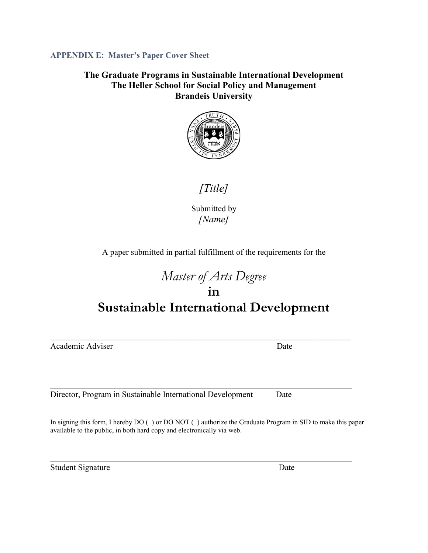<span id="page-29-0"></span>**APPENDIX E: Master's Paper Cover Sheet**

**The Graduate Programs in Sustainable International Development The Heller School for Social Policy and Management Brandeis University**



*[Title]*

Submitted by *[Name]*

A paper submitted in partial fulfillment of the requirements for the

# *Master of Arts Degree* **in Sustainable International Development**

Academic Adviser Date

\_\_\_\_\_\_\_\_\_\_\_\_\_\_\_\_\_\_\_\_\_\_\_\_\_\_\_\_\_\_\_\_\_\_\_\_\_\_\_\_\_\_\_\_\_\_\_\_\_\_\_\_\_\_\_\_\_\_\_\_\_\_\_\_\_\_\_\_\_\_\_\_

Director, Program in Sustainable International Development Date

In signing this form, I hereby DO ( ) or DO NOT ( ) authorize the Graduate Program in SID to make this paper available to the public, in both hard copy and electronically via web.

 $\overline{\phantom{a}}$  , and the contribution of the contribution of the contribution of the contribution of the contribution of the contribution of the contribution of the contribution of the contribution of the contribution of the

\_\_\_\_\_\_\_\_\_\_\_\_\_\_\_\_\_\_\_\_\_\_\_\_\_\_\_\_\_\_\_\_\_\_\_\_\_\_\_\_\_\_\_\_\_\_\_\_\_\_\_\_\_\_\_\_\_\_\_\_\_\_\_\_\_\_\_\_\_\_\_\_

Student Signature Date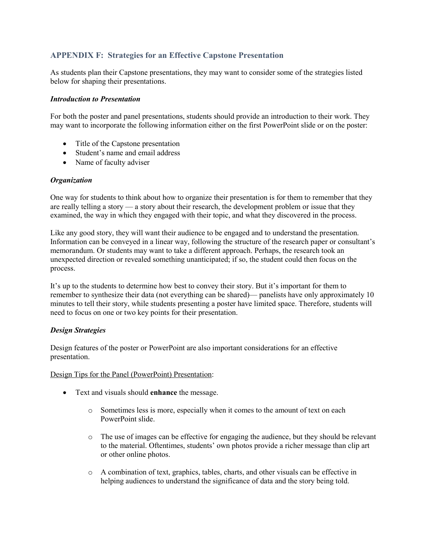# <span id="page-30-0"></span>**APPENDIX F: Strategies for an Effective Capstone Presentation**

As students plan their Capstone presentations, they may want to consider some of the strategies listed below for shaping their presentations.

#### *Introduction to Presentation*

For both the poster and panel presentations, students should provide an introduction to their work. They may want to incorporate the following information either on the first PowerPoint slide or on the poster:

- Title of the Capstone presentation
- Student's name and email address
- Name of faculty adviser

#### *Organization*

One way for students to think about how to organize their presentation is for them to remember that they are really telling a story — a story about their research, the development problem or issue that they examined, the way in which they engaged with their topic, and what they discovered in the process.

Like any good story, they will want their audience to be engaged and to understand the presentation. Information can be conveyed in a linear way, following the structure of the research paper or consultant's memorandum. Or students may want to take a different approach. Perhaps, the research took an unexpected direction or revealed something unanticipated; if so, the student could then focus on the process.

It's up to the students to determine how best to convey their story. But it's important for them to remember to synthesize their data (not everything can be shared)— panelists have only approximately 10 minutes to tell their story, while students presenting a poster have limited space. Therefore, students will need to focus on one or two key points for their presentation.

#### *Design Strategies*

Design features of the poster or PowerPoint are also important considerations for an effective presentation.

Design Tips for the Panel (PowerPoint) Presentation:

- Text and visuals should **enhance** the message.
	- o Sometimes less is more, especially when it comes to the amount of text on each PowerPoint slide.
	- o The use of images can be effective for engaging the audience, but they should be relevant to the material. Oftentimes, students' own photos provide a richer message than clip art or other online photos.
	- o A combination of text, graphics, tables, charts, and other visuals can be effective in helping audiences to understand the significance of data and the story being told.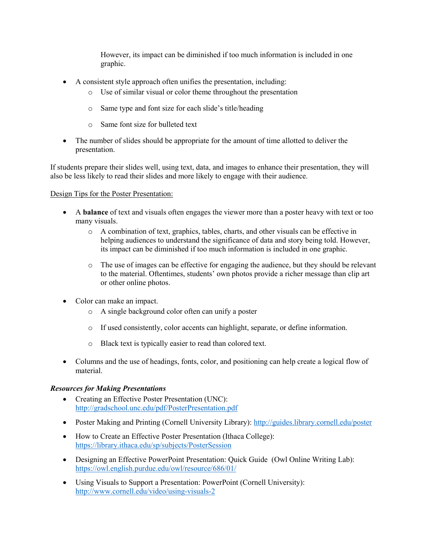However, its impact can be diminished if too much information is included in one graphic.

- A consistent style approach often unifies the presentation, including:
	- o Use of similar visual or color theme throughout the presentation
	- o Same type and font size for each slide's title/heading
	- o Same font size for bulleted text
- The number of slides should be appropriate for the amount of time allotted to deliver the presentation.

If students prepare their slides well, using text, data, and images to enhance their presentation, they will also be less likely to read their slides and more likely to engage with their audience.

# Design Tips for the Poster Presentation:

- A **balance** of text and visuals often engages the viewer more than a poster heavy with text or too many visuals.
	- o A combination of text, graphics, tables, charts, and other visuals can be effective in helping audiences to understand the significance of data and story being told. However, its impact can be diminished if too much information is included in one graphic.
	- o The use of images can be effective for engaging the audience, but they should be relevant to the material. Oftentimes, students' own photos provide a richer message than clip art or other online photos.
- Color can make an impact.
	- o A single background color often can unify a poster
	- o If used consistently, color accents can highlight, separate, or define information.
	- o Black text is typically easier to read than colored text.
- Columns and the use of headings, fonts, color, and positioning can help create a logical flow of material.

#### *Resources for Making Presentations*

- Creating an Effective Poster Presentation (UNC): <http://gradschool.unc.edu/pdf/PosterPresentation.pdf>
- Poster Making and Printing (Cornell University Library):<http://guides.library.cornell.edu/poster>
- How to Create an Effective Poster Presentation (Ithaca College): <https://library.ithaca.edu/sp/subjects/PosterSession>
- Designing an Effective PowerPoint Presentation: Quick Guide (Owl Online Writing Lab): <https://owl.english.purdue.edu/owl/resource/686/01/>
- Using Visuals to Support a Presentation: PowerPoint (Cornell University): <http://www.cornell.edu/video/using-visuals-2>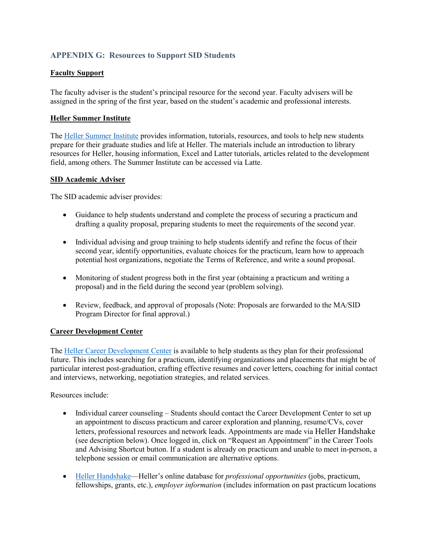# **APPENDIX G: Resources to Support SID Students**

# **Faculty Support**

The faculty adviser is the student's principal resource for the second year. Faculty advisers will be assigned in the spring of the first year, based on the student's academic and professional interests.

#### **Heller Summer Institute**

The [Heller Summer Institute](https://moodle2.brandeis.edu/course/view.php?id=13881) provides information, tutorials, resources, and tools to help new students prepare for their graduate studies and life at Heller. The materials include an introduction to library resources for Heller, housing information, Excel and Latter tutorials, articles related to the development field, among others. The Summer Institute can be accessed via Latte.

#### **SID Academic Adviser**

The SID academic adviser provides:

- Guidance to help students understand and complete the process of securing a practicum and drafting a quality proposal, preparing students to meet the requirements of the second year.
- Individual advising and group training to help students identify and refine the focus of their second year, identify opportunities, evaluate choices for the practicum, learn how to approach potential host organizations, negotiate the Terms of Reference, and write a sound proposal.
- Monitoring of student progress both in the first year (obtaining a practicum and writing a proposal) and in the field during the second year (problem solving).
- Review, feedback, and approval of proposals (Note: Proposals are forwarded to the MA/SID Program Director for final approval.)

#### **Career Development Center**

The [Heller Career Development Center](http://heller.brandeis.edu/careers/) is available to help students as they plan for their professional future. This includes searching for a practicum, identifying organizations and placements that might be of particular interest post-graduation, crafting effective resumes and cover letters, coaching for initial contact and interviews, networking, negotiation strategies, and related services.

Resources include:

- Individual career counseling Students should contact the Career Development Center to set up an appointment to discuss practicum and career exploration and planning, resume/CVs, cover letters, professional resources and network leads. Appointments are made vi[a Heller Handshake](https://heller.brandeis.edu/careers/employers.html) [\(s](https://heller.brandeis.edu/careers/employers.html)ee description below). Once logged in, click on "Request an Appointment" in the Career Tools and Advising Shortcut button. If a student is already on practicum and unable to meet in-person, a telephone session or email communication are alternative options.
- [Heller Handshake—](https://heller.brandeis.edu/careers/employers.html)Heller's online database for *professional opportunities* (jobs, practicum, fellowships, grants, etc.), *employer information* (includes information on past practicum locations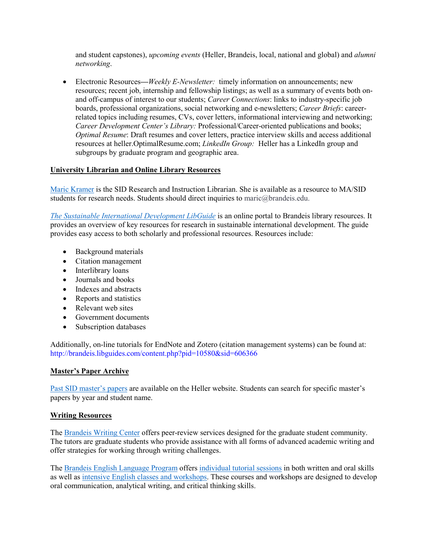and student capstones), *upcoming events* (Heller, Brandeis, local, national and global) and *alumni networking*.

• Electronic Resources—*Weekly E-Newsletter:* timely information on announcements; new resources; recent job, internship and fellowship listings; as well as a summary of events both onand off-campus of interest to our students; *Career Connections*: links to industry-specific job boards, professional organizations, social networking and e-newsletters; *Career Briefs*: careerrelated topics including resumes, CVs, cover letters, informational interviewing and networking; *Career Development Center's Library:* Professional/Career-oriented publications and books; *Optimal Resume*: Draft resumes and cover letters, practice interview skills and access additional resources at heller.OptimalResume.com; *LinkedIn Group:* Heller has a LinkedIn group and subgroups by graduate program and geographic area.

# **University Librarian and Online Library Resources**

[Maric Kramer](mailto:https://docs.google.com/document/d/1bq0CzrIyj2xq0FDGepGShquYY5SBCSK5kbvjtneb4NI/edit%23heading=h.fav6scqmwu85) is the SID Research and Instruction Librarian. She is available as a resource to MA/SID students for research needs. Students should direct inquiries to maric@brandeis.edu.

*[The Sustainable International Development LibGuide](mailto:http://guides.library.brandeis.edu/sid)* is an online portal to Brandeis library resources. It provides an overview of key resources for research in sustainable international development. The guide provides easy access to both scholarly and professional resources. Resources include:

- Background materials
- Citation management
- Interlibrary loans
- Journals and books
- Indexes and abstracts
- Reports and statistics
- Relevant web sites
- Government documents
- Subscription databases

Additionally, on-line tutorials for EndNote and Zotero (citation management systems) can be found at: <http://brandeis.libguides.com/content.php?pid=10580&sid=606366>

#### **Master's Paper Archive**

[Past SID master's papers](https://www.brandeis.edu/heller/heller/students/academics/sid/masters-papers/index.html) are available on the Heller website. Students can search for specific master's papers by year and student name.

#### **Writing Resources**

The [Brandeis Writing Center](http://www.brandeis.edu/writingprogram/writingcenter/) offers peer-review services designed for the graduate student community. The tutors are graduate students who provide assistance with all forms of advanced academic writing and offer strategies for working through writing challenges.

The [Brandeis English Language Program](http://www.brandeis.edu/elp/) offers [individual tutorial sessions](http://www.brandeis.edu/elp/tutorials/index.html) in both written and oral skills as well as [intensive English classes and workshops.](http://www.brandeis.edu/elp/gsas.html) These courses and workshops are designed to develop oral communication, analytical writing, and critical thinking skills.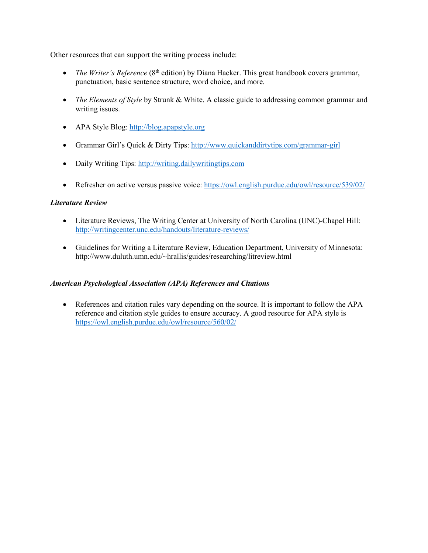Other resources that can support the writing process include:

- *The Writer's Reference* (8<sup>th</sup> edition) by Diana Hacker. This great handbook covers grammar, punctuation, basic sentence structure, word choice, and more.
- *The Elements of Style* by Strunk & White. A classic guide to addressing common grammar and writing issues.
- APA Style Blog: [http://blog.apapstyle.org](http://blog.apapstyle.org/)
- Grammar Girl's Quick & Dirty Tips:<http://www.quickanddirtytips.com/grammar-girl>
- Daily Writing Tips: [http://writing.dailywritingtips.com](http://writing.dailywritingtips.com/)
- Refresher on active versus passive voice:<https://owl.english.purdue.edu/owl/resource/539/02/>

# *Literature Review*

- Literature Reviews, The Writing Center at University of North Carolina (UNC)-Chapel Hill: <http://writingcenter.unc.edu/handouts/literature-reviews/>
- Guidelines for Writing a Literature Review, Education Department, University of Minnesota: http://www.duluth.umn.edu/~hrallis/guides/researching/litreview.html

# *American Psychological Association (APA) References and Citations*

• References and citation rules vary depending on the source. It is important to follow the APA reference and citation style guides to ensure accuracy. A good resource for APA style is <https://owl.english.purdue.edu/owl/resource/560/02/>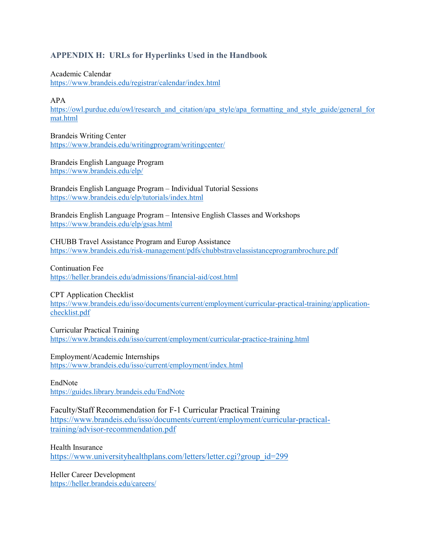# **APPENDIX H: URLs for Hyperlinks Used in the Handbook**

Academic Calendar <https://www.brandeis.edu/registrar/calendar/index.html>

APA

[https://owl.purdue.edu/owl/research\\_and\\_citation/apa\\_style/apa\\_formatting\\_and\\_style\\_guide/general\\_for](https://owl.purdue.edu/owl/research_and_citation/apa_style/apa_formatting_and_style_guide/general_format.html) [mat.html](https://owl.purdue.edu/owl/research_and_citation/apa_style/apa_formatting_and_style_guide/general_format.html)

Brandeis Writing Center <https://www.brandeis.edu/writingprogram/writingcenter/>

Brandeis English Language Program <https://www.brandeis.edu/elp/>

Brandeis English Language Program – Individual Tutorial Sessions <https://www.brandeis.edu/elp/tutorials/index.html>

Brandeis English Language Program – Intensive English Classes and Workshops <https://www.brandeis.edu/elp/gsas.html>

CHUBB Travel Assistance Program and Europ Assistance <https://www.brandeis.edu/risk-management/pdfs/chubbstravelassistanceprogrambrochure.pdf>

Continuation Fee

<https://heller.brandeis.edu/admissions/financial-aid/cost.html>

CPT Application Checklist

[https://www.brandeis.edu/isso/documents/current/employment/curricular-practical-training/application](https://www.brandeis.edu/isso/documents/current/employment/curricular-practical-training/application-checklist.pdf)[checklist.pdf](https://www.brandeis.edu/isso/documents/current/employment/curricular-practical-training/application-checklist.pdf)

Curricular Practical Training <https://www.brandeis.edu/isso/current/employment/curricular-practice-training.html>

Employment/Academic Internships <https://www.brandeis.edu/isso/current/employment/index.html>

EndNote <https://guides.library.brandeis.edu/EndNote>

Faculty/Staff Recommendation for F-1 Curricular Practical Training [https://www.brandeis.edu/isso/documents/current/employment/curricular-practical](https://www.brandeis.edu/isso/documents/current/employment/curricular-practical-training/advisor-recommendation.pdf)[training/advisor-recommendation.pdf](https://www.brandeis.edu/isso/documents/current/employment/curricular-practical-training/advisor-recommendation.pdf)

Health Insurance [https://www.universityhealthplans.com/letters/letter.cgi?group\\_id=299](https://www.universityhealthplans.com/letters/letter.cgi?group_id=299)

Heller Career Development <https://heller.brandeis.edu/careers/>